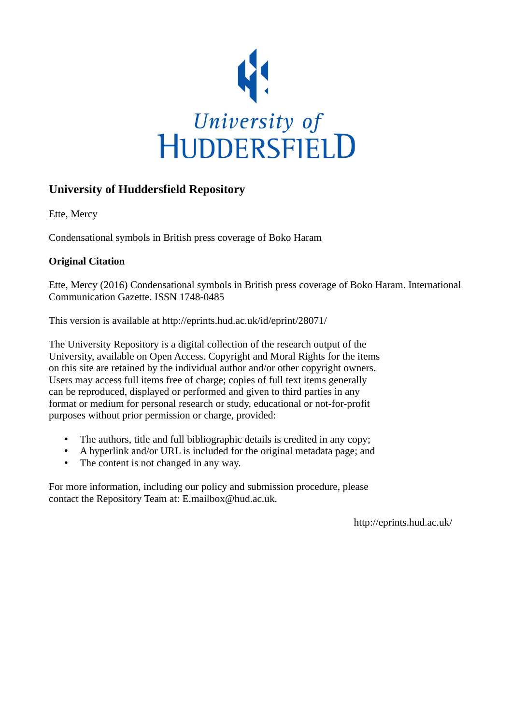

# **University of Huddersfield Repository**

Ette, Mercy

Condensational symbols in British press coverage of Boko Haram

## **Original Citation**

Ette, Mercy (2016) Condensational symbols in British press coverage of Boko Haram. International Communication Gazette. ISSN 1748-0485

This version is available at http://eprints.hud.ac.uk/id/eprint/28071/

The University Repository is a digital collection of the research output of the University, available on Open Access. Copyright and Moral Rights for the items on this site are retained by the individual author and/or other copyright owners. Users may access full items free of charge; copies of full text items generally can be reproduced, displayed or performed and given to third parties in any format or medium for personal research or study, educational or not-for-profit purposes without prior permission or charge, provided:

- The authors, title and full bibliographic details is credited in any copy;
- A hyperlink and/or URL is included for the original metadata page; and
- The content is not changed in any way.

For more information, including our policy and submission procedure, please contact the Repository Team at: E.mailbox@hud.ac.uk.

http://eprints.hud.ac.uk/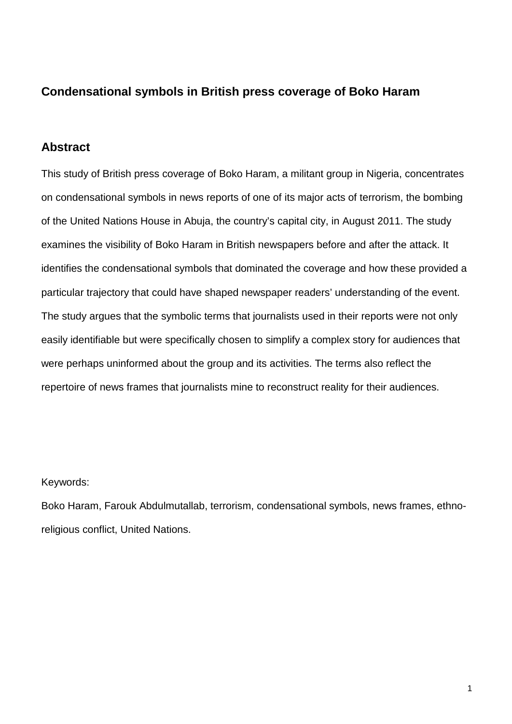# **Condensational symbols in British press coverage of Boko Haram**

## **Abstract**

This study of British press coverage of Boko Haram, a militant group in Nigeria, concentrates on condensational symbols in news reports of one of its major acts of terrorism, the bombing of the United Nations House in Abuja, the country's capital city, in August 2011. The study examines the visibility of Boko Haram in British newspapers before and after the attack. It identifies the condensational symbols that dominated the coverage and how these provided a particular trajectory that could have shaped newspaper readers' understanding of the event. The study argues that the symbolic terms that journalists used in their reports were not only easily identifiable but were specifically chosen to simplify a complex story for audiences that were perhaps uninformed about the group and its activities. The terms also reflect the repertoire of news frames that journalists mine to reconstruct reality for their audiences.

#### Keywords:

Boko Haram, Farouk Abdulmutallab, terrorism, condensational symbols, news frames, ethnoreligious conflict, United Nations.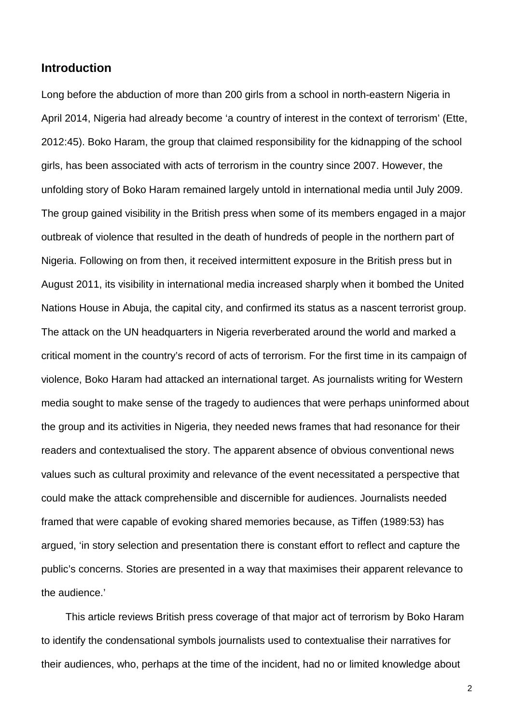## **Introduction**

Long before the abduction of more than 200 girls from a school in north-eastern Nigeria in April 2014, Nigeria had already become 'a country of interest in the context of terrorism' (Ette, 2012:45). Boko Haram, the group that claimed responsibility for the kidnapping of the school girls, has been associated with acts of terrorism in the country since 2007. However, the unfolding story of Boko Haram remained largely untold in international media until July 2009. The group gained visibility in the British press when some of its members engaged in a major outbreak of violence that resulted in the death of hundreds of people in the northern part of Nigeria. Following on from then, it received intermittent exposure in the British press but in August 2011, its visibility in international media increased sharply when it bombed the United Nations House in Abuja, the capital city, and confirmed its status as a nascent terrorist group. The attack on the UN headquarters in Nigeria reverberated around the world and marked a critical moment in the country's record of acts of terrorism. For the first time in its campaign of violence, Boko Haram had attacked an international target. As journalists writing for Western media sought to make sense of the tragedy to audiences that were perhaps uninformed about the group and its activities in Nigeria, they needed news frames that had resonance for their readers and contextualised the story. The apparent absence of obvious conventional news values such as cultural proximity and relevance of the event necessitated a perspective that could make the attack comprehensible and discernible for audiences. Journalists needed framed that were capable of evoking shared memories because, as Tiffen (1989:53) has argued, 'in story selection and presentation there is constant effort to reflect and capture the public's concerns. Stories are presented in a way that maximises their apparent relevance to the audience.'

This article reviews British press coverage of that major act of terrorism by Boko Haram to identify the condensational symbols journalists used to contextualise their narratives for their audiences, who, perhaps at the time of the incident, had no or limited knowledge about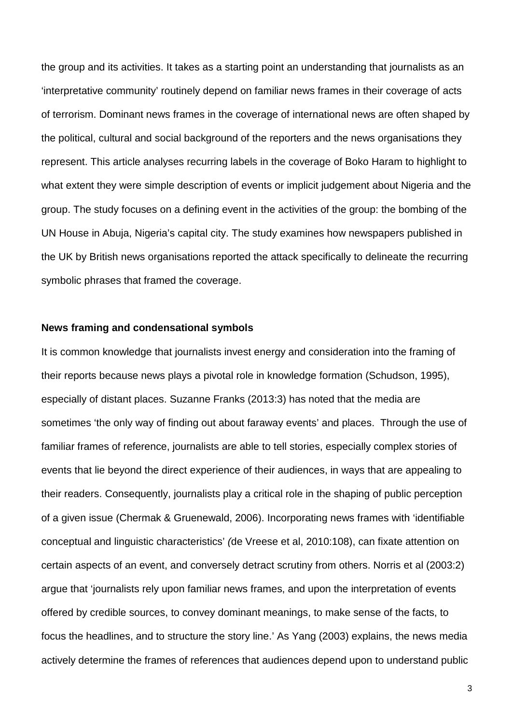the group and its activities. It takes as a starting point an understanding that journalists as an 'interpretative community' routinely depend on familiar news frames in their coverage of acts of terrorism. Dominant news frames in the coverage of international news are often shaped by the political, cultural and social background of the reporters and the news organisations they represent. This article analyses recurring labels in the coverage of Boko Haram to highlight to what extent they were simple description of events or implicit judgement about Nigeria and the group. The study focuses on a defining event in the activities of the group: the bombing of the UN House in Abuja, Nigeria's capital city. The study examines how newspapers published in the UK by British news organisations reported the attack specifically to delineate the recurring symbolic phrases that framed the coverage.

#### **News framing and condensational symbols**

It is common knowledge that journalists invest energy and consideration into the framing of their reports because news plays a pivotal role in knowledge formation (Schudson, 1995), especially of distant places. Suzanne Franks (2013:3) has noted that the media are sometimes 'the only way of finding out about faraway events' and places. Through the use of familiar frames of reference, journalists are able to tell stories, especially complex stories of events that lie beyond the direct experience of their audiences, in ways that are appealing to their readers. Consequently, journalists play a critical role in the shaping of public perception of a given issue (Chermak & Gruenewald, 2006). Incorporating news frames with 'identifiable conceptual and linguistic characteristics' *(*de Vreese et al, 2010:108), can fixate attention on certain aspects of an event, and conversely detract scrutiny from others. Norris et al (2003:2) argue that 'journalists rely upon familiar news frames, and upon the interpretation of events offered by credible sources, to convey dominant meanings, to make sense of the facts, to focus the headlines, and to structure the story line.' As Yang (2003) explains, the news media actively determine the frames of references that audiences depend upon to understand public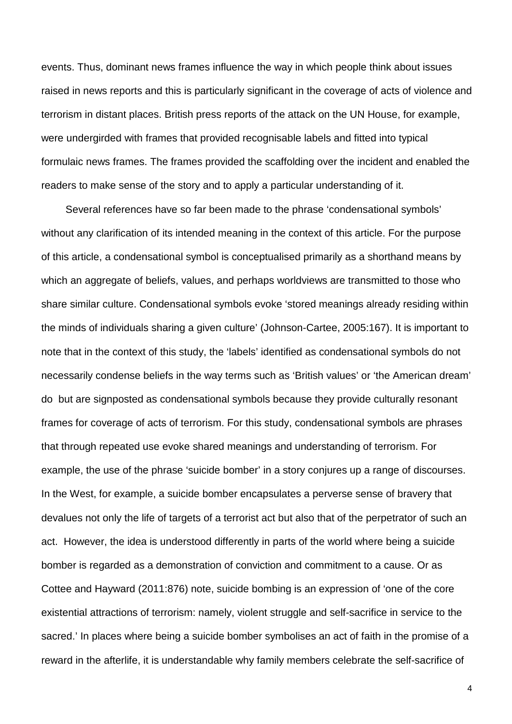events. Thus, dominant news frames influence the way in which people think about issues raised in news reports and this is particularly significant in the coverage of acts of violence and terrorism in distant places. British press reports of the attack on the UN House, for example, were undergirded with frames that provided recognisable labels and fitted into typical formulaic news frames. The frames provided the scaffolding over the incident and enabled the readers to make sense of the story and to apply a particular understanding of it.

Several references have so far been made to the phrase 'condensational symbols' without any clarification of its intended meaning in the context of this article. For the purpose of this article, a condensational symbol is conceptualised primarily as a shorthand means by which an aggregate of beliefs, values, and perhaps worldviews are transmitted to those who share similar culture. Condensational symbols evoke 'stored meanings already residing within the minds of individuals sharing a given culture' (Johnson-Cartee, 2005:167). It is important to note that in the context of this study, the 'labels' identified as condensational symbols do not necessarily condense beliefs in the way terms such as 'British values' or 'the American dream' do but are signposted as condensational symbols because they provide culturally resonant frames for coverage of acts of terrorism. For this study, condensational symbols are phrases that through repeated use evoke shared meanings and understanding of terrorism. For example, the use of the phrase 'suicide bomber' in a story conjures up a range of discourses. In the West, for example, a suicide bomber encapsulates a perverse sense of bravery that devalues not only the life of targets of a terrorist act but also that of the perpetrator of such an act. However, the idea is understood differently in parts of the world where being a suicide bomber is regarded as a demonstration of conviction and commitment to a cause. Or as Cottee and Hayward (2011:876) note, suicide bombing is an expression of 'one of the core existential attractions of terrorism: namely, violent struggle and self-sacrifice in service to the sacred.' In places where being a suicide bomber symbolises an act of faith in the promise of a reward in the afterlife, it is understandable why family members celebrate the self-sacrifice of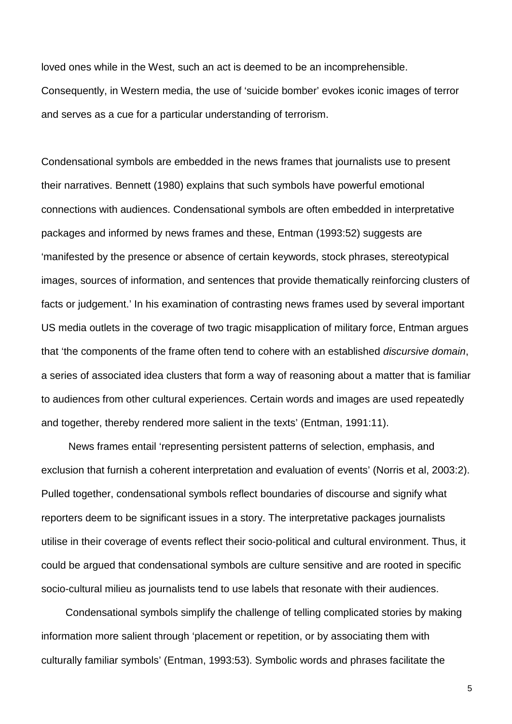loved ones while in the West, such an act is deemed to be an incomprehensible. Consequently, in Western media, the use of 'suicide bomber' evokes iconic images of terror and serves as a cue for a particular understanding of terrorism.

Condensational symbols are embedded in the news frames that journalists use to present their narratives. Bennett (1980) explains that such symbols have powerful emotional connections with audiences. Condensational symbols are often embedded in interpretative packages and informed by news frames and these, Entman (1993:52) suggests are 'manifested by the presence or absence of certain keywords, stock phrases, stereotypical images, sources of information, and sentences that provide thematically reinforcing clusters of facts or judgement.' In his examination of contrasting news frames used by several important US media outlets in the coverage of two tragic misapplication of military force, Entman argues that 'the components of the frame often tend to cohere with an established *discursive domain*, a series of associated idea clusters that form a way of reasoning about a matter that is familiar to audiences from other cultural experiences. Certain words and images are used repeatedly and together, thereby rendered more salient in the texts' (Entman, 1991:11).

News frames entail 'representing persistent patterns of selection, emphasis, and exclusion that furnish a coherent interpretation and evaluation of events' (Norris et al, 2003:2). Pulled together, condensational symbols reflect boundaries of discourse and signify what reporters deem to be significant issues in a story. The interpretative packages journalists utilise in their coverage of events reflect their socio-political and cultural environment. Thus, it could be argued that condensational symbols are culture sensitive and are rooted in specific socio-cultural milieu as journalists tend to use labels that resonate with their audiences.

Condensational symbols simplify the challenge of telling complicated stories by making information more salient through 'placement or repetition, or by associating them with culturally familiar symbols' (Entman, 1993:53). Symbolic words and phrases facilitate the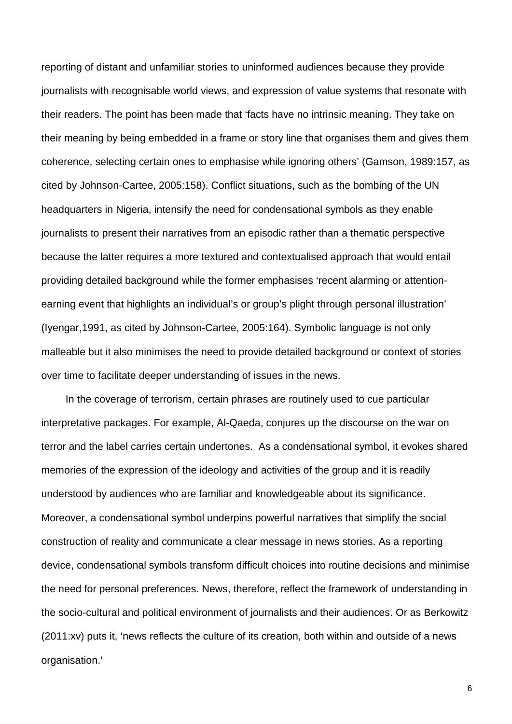reporting of distant and unfamiliar stories to uninformed audiences because they provide journalists with recognisable world views, and expression of value systems that resonate with their readers. The point has been made that 'facts have no intrinsic meaning. They take on their meaning by being embedded in a frame or story line that organises them and gives them coherence, selecting certain ones to emphasise while ignoring others' (Gamson, 1989:157, as cited by Johnson-Cartee, 2005:158). Conflict situations, such as the bombing of the UN headquarters in Nigeria, intensify the need for condensational symbols as they enable journalists to present their narratives from an episodic rather than a thematic perspective because the latter requires a more textured and contextualised approach that would entail providing detailed background while the former emphasises 'recent alarming or attentionearning event that highlights an individual's or group's plight through personal illustration' (Iyengar,1991, as cited by Johnson-Cartee, 2005:164). Symbolic language is not only malleable but it also minimises the need to provide detailed background or context of stories over time to facilitate deeper understanding of issues in the news.

In the coverage of terrorism, certain phrases are routinely used to cue particular interpretative packages. For example, Al-Qaeda, conjures up the discourse on the war on terror and the label carries certain undertones. As a condensational symbol, it evokes shared memories of the expression of the ideology and activities of the group and it is readily understood by audiences who are familiar and knowledgeable about its significance. Moreover, a condensational symbol underpins powerful narratives that simplify the social construction of reality and communicate a clear message in news stories. As a reporting device, condensational symbols transform difficult choices into routine decisions and minimise the need for personal preferences. News, therefore, reflect the framework of understanding in the socio-cultural and political environment of journalists and their audiences. Or as Berkowitz (2011:xv) puts it, 'news reflects the culture of its creation, both within and outside of a news organisation.'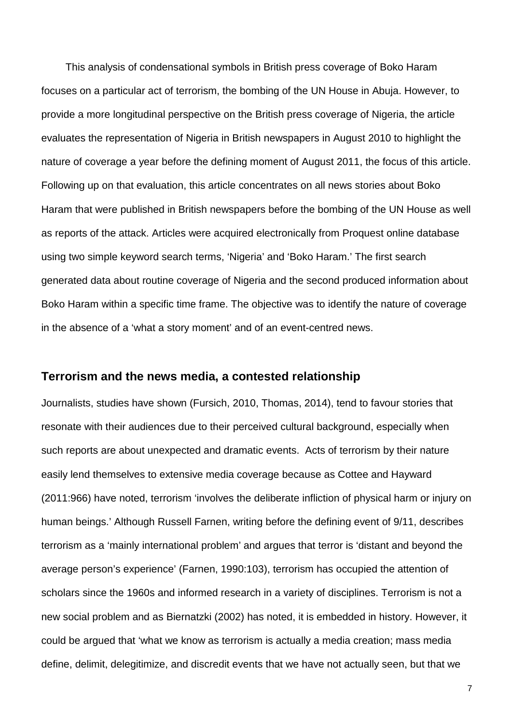This analysis of condensational symbols in British press coverage of Boko Haram focuses on a particular act of terrorism, the bombing of the UN House in Abuja. However, to provide a more longitudinal perspective on the British press coverage of Nigeria, the article evaluates the representation of Nigeria in British newspapers in August 2010 to highlight the nature of coverage a year before the defining moment of August 2011, the focus of this article. Following up on that evaluation, this article concentrates on all news stories about Boko Haram that were published in British newspapers before the bombing of the UN House as well as reports of the attack. Articles were acquired electronically from Proquest online database using two simple keyword search terms, 'Nigeria' and 'Boko Haram.' The first search generated data about routine coverage of Nigeria and the second produced information about Boko Haram within a specific time frame. The objective was to identify the nature of coverage in the absence of a 'what a story moment' and of an event-centred news.

#### **Terrorism and the news media, a contested relationship**

Journalists, studies have shown (Fursich, 2010, Thomas, 2014), tend to favour stories that resonate with their audiences due to their perceived cultural background, especially when such reports are about unexpected and dramatic events. Acts of terrorism by their nature easily lend themselves to extensive media coverage because as Cottee and Hayward (2011:966) have noted, terrorism 'involves the deliberate infliction of physical harm or injury on human beings.' Although Russell Farnen, writing before the defining event of 9/11, describes terrorism as a 'mainly international problem' and argues that terror is 'distant and beyond the average person's experience' (Farnen, 1990:103), terrorism has occupied the attention of scholars since the 1960s and informed research in a variety of disciplines. Terrorism is not a new social problem and as Biernatzki (2002) has noted, it is embedded in history. However, it could be argued that 'what we know as terrorism is actually a media creation; mass media define, delimit, delegitimize, and discredit events that we have not actually seen, but that we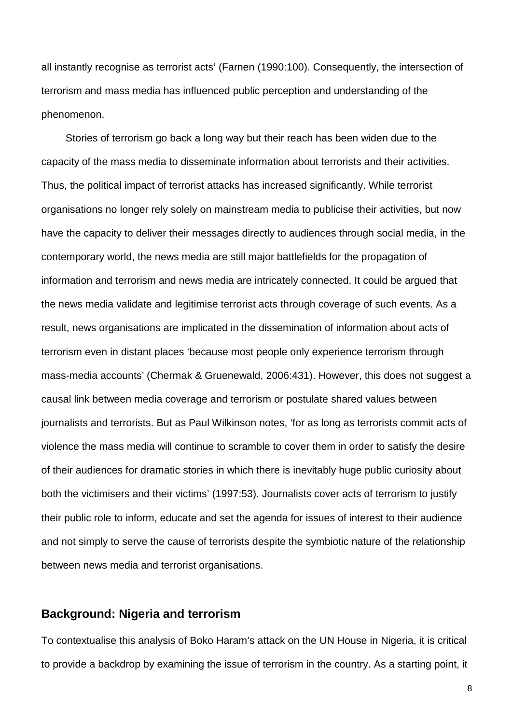all instantly recognise as terrorist acts' (Farnen (1990:100). Consequently, the intersection of terrorism and mass media has influenced public perception and understanding of the phenomenon.

Stories of terrorism go back a long way but their reach has been widen due to the capacity of the mass media to disseminate information about terrorists and their activities. Thus, the political impact of terrorist attacks has increased significantly. While terrorist organisations no longer rely solely on mainstream media to publicise their activities, but now have the capacity to deliver their messages directly to audiences through social media, in the contemporary world, the news media are still major battlefields for the propagation of information and terrorism and news media are intricately connected. It could be argued that the news media validate and legitimise terrorist acts through coverage of such events. As a result, news organisations are implicated in the dissemination of information about acts of terrorism even in distant places 'because most people only experience terrorism through mass-media accounts' (Chermak & Gruenewald, 2006:431). However, this does not suggest a causal link between media coverage and terrorism or postulate shared values between journalists and terrorists. But as Paul Wilkinson notes, 'for as long as terrorists commit acts of violence the mass media will continue to scramble to cover them in order to satisfy the desire of their audiences for dramatic stories in which there is inevitably huge public curiosity about both the victimisers and their victims' (1997:53). Journalists cover acts of terrorism to justify their public role to inform, educate and set the agenda for issues of interest to their audience and not simply to serve the cause of terrorists despite the symbiotic nature of the relationship between news media and terrorist organisations.

## **Background: Nigeria and terrorism**

To contextualise this analysis of Boko Haram's attack on the UN House in Nigeria, it is critical to provide a backdrop by examining the issue of terrorism in the country. As a starting point, it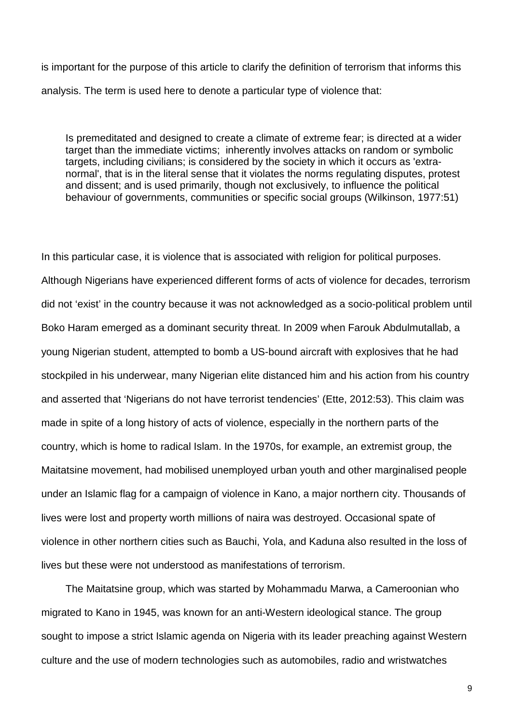is important for the purpose of this article to clarify the definition of terrorism that informs this analysis. The term is used here to denote a particular type of violence that:

Is premeditated and designed to create a climate of extreme fear; is directed at a wider target than the immediate victims; inherently involves attacks on random or symbolic targets, including civilians; is considered by the society in which it occurs as 'extranormal', that is in the literal sense that it violates the norms regulating disputes, protest and dissent; and is used primarily, though not exclusively, to influence the political behaviour of governments, communities or specific social groups (Wilkinson, 1977:51)

In this particular case, it is violence that is associated with religion for political purposes. Although Nigerians have experienced different forms of acts of violence for decades, terrorism did not 'exist' in the country because it was not acknowledged as a socio-political problem until Boko Haram emerged as a dominant security threat. In 2009 when Farouk Abdulmutallab, a young Nigerian student, attempted to bomb a US-bound aircraft with explosives that he had stockpiled in his underwear, many Nigerian elite distanced him and his action from his country and asserted that 'Nigerians do not have terrorist tendencies' (Ette, 2012:53). This claim was made in spite of a long history of acts of violence, especially in the northern parts of the country, which is home to radical Islam. In the 1970s, for example, an extremist group, the Maitatsine movement, had mobilised unemployed urban youth and other marginalised people under an Islamic flag for a campaign of violence in Kano, a major northern city. Thousands of lives were lost and property worth millions of naira was destroyed. Occasional spate of violence in other northern cities such as Bauchi, Yola, and Kaduna also resulted in the loss of lives but these were not understood as manifestations of terrorism.

The Maitatsine group, which was started by Mohammadu Marwa, a Cameroonian who migrated to Kano in 1945, was known for an anti-Western ideological stance. The group sought to impose a strict Islamic agenda on Nigeria with its leader preaching against Western culture and the use of modern technologies such as automobiles, radio and wristwatches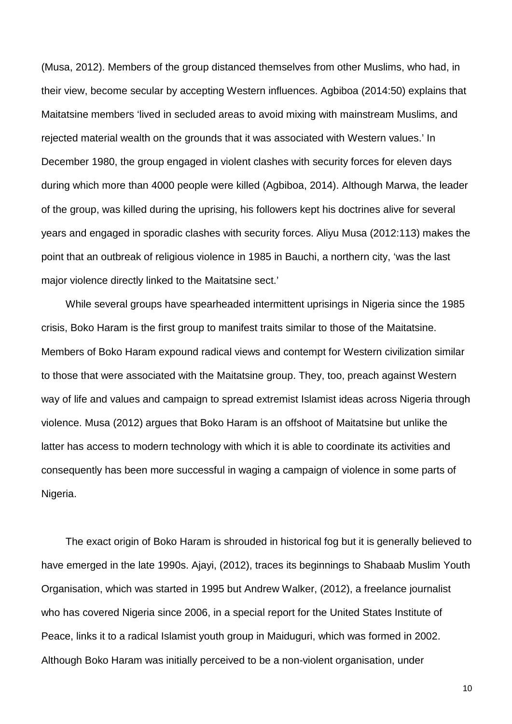(Musa, 2012). Members of the group distanced themselves from other Muslims, who had, in their view, become secular by accepting Western influences. Agbiboa (2014:50) explains that Maitatsine members 'lived in secluded areas to avoid mixing with mainstream Muslims, and rejected material wealth on the grounds that it was associated with Western values.' In December 1980, the group engaged in violent clashes with security forces for eleven days during which more than 4000 people were killed (Agbiboa, 2014). Although Marwa, the leader of the group, was killed during the uprising, his followers kept his doctrines alive for several years and engaged in sporadic clashes with security forces. Aliyu Musa (2012:113) makes the point that an outbreak of religious violence in 1985 in Bauchi, a northern city, 'was the last major violence directly linked to the Maitatsine sect.'

While several groups have spearheaded intermittent uprisings in Nigeria since the 1985 crisis, Boko Haram is the first group to manifest traits similar to those of the Maitatsine. Members of Boko Haram expound radical views and contempt for Western civilization similar to those that were associated with the Maitatsine group. They, too, preach against Western way of life and values and campaign to spread extremist Islamist ideas across Nigeria through violence. Musa (2012) argues that Boko Haram is an offshoot of Maitatsine but unlike the latter has access to modern technology with which it is able to coordinate its activities and consequently has been more successful in waging a campaign of violence in some parts of Nigeria.

The exact origin of Boko Haram is shrouded in historical fog but it is generally believed to have emerged in the late 1990s. Ajayi, (2012), traces its beginnings to Shabaab Muslim Youth Organisation, which was started in 1995 but Andrew Walker, (2012), a freelance journalist who has covered Nigeria since 2006, in a special report for the United States Institute of Peace, links it to a radical Islamist youth group in Maiduguri, which was formed in 2002. Although Boko Haram was initially perceived to be a non-violent organisation, under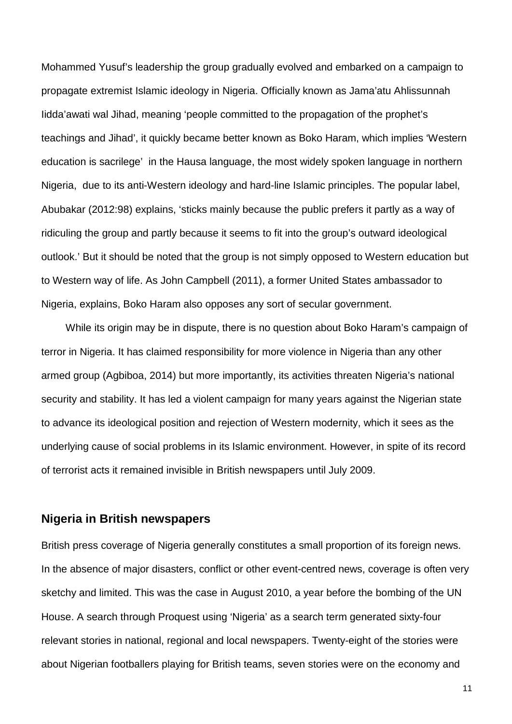Mohammed Yusuf's leadership the group gradually evolved and embarked on a campaign to propagate extremist Islamic ideology in Nigeria. Officially known as Jama'atu Ahlissunnah Iidda'awati wal Jihad, meaning 'people committed to the propagation of the prophet's teachings and Jihad', it quickly became better known as Boko Haram, which implies 'Western education is sacrilege' in the Hausa language, the most widely spoken language in northern Nigeria, due to its anti-Western ideology and hard-line Islamic principles. The popular label, Abubakar (2012:98) explains, 'sticks mainly because the public prefers it partly as a way of ridiculing the group and partly because it seems to fit into the group's outward ideological outlook.' But it should be noted that the group is not simply opposed to Western education but to Western way of life. As John Campbell (2011), a former United States ambassador to Nigeria, explains, Boko Haram also opposes any sort of secular government.

While its origin may be in dispute, there is no question about Boko Haram's campaign of terror in Nigeria. It has claimed responsibility for more violence in Nigeria than any other armed group (Agbiboa, 2014) but more importantly, its activities threaten Nigeria's national security and stability. It has led a violent campaign for many years against the Nigerian state to advance its ideological position and rejection of Western modernity, which it sees as the underlying cause of social problems in its Islamic environment. However, in spite of its record of terrorist acts it remained invisible in British newspapers until July 2009.

#### **Nigeria in British newspapers**

British press coverage of Nigeria generally constitutes a small proportion of its foreign news. In the absence of major disasters, conflict or other event-centred news, coverage is often very sketchy and limited. This was the case in August 2010, a year before the bombing of the UN House. A search through Proquest using 'Nigeria' as a search term generated sixty-four relevant stories in national, regional and local newspapers. Twenty-eight of the stories were about Nigerian footballers playing for British teams, seven stories were on the economy and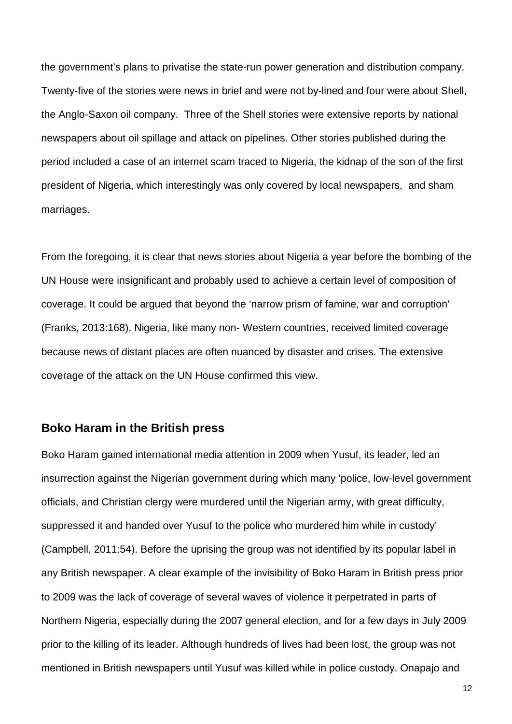the government's plans to privatise the state-run power generation and distribution company. Twenty-five of the stories were news in brief and were not by-lined and four were about Shell, the Anglo-Saxon oil company. Three of the Shell stories were extensive reports by national newspapers about oil spillage and attack on pipelines. Other stories published during the period included a case of an internet scam traced to Nigeria, the kidnap of the son of the first president of Nigeria, which interestingly was only covered by local newspapers, and sham marriages.

From the foregoing, it is clear that news stories about Nigeria a year before the bombing of the UN House were insignificant and probably used to achieve a certain level of composition of coverage. It could be argued that beyond the 'narrow prism of famine, war and corruption' (Franks, 2013:168), Nigeria, like many non- Western countries, received limited coverage because news of distant places are often nuanced by disaster and crises. The extensive coverage of the attack on the UN House confirmed this view.

#### **Boko Haram in the British press**

Boko Haram gained international media attention in 2009 when Yusuf, its leader, led an insurrection against the Nigerian government during which many 'police, low-level government officials, and Christian clergy were murdered until the Nigerian army, with great difficulty, suppressed it and handed over Yusuf to the police who murdered him while in custody' (Campbell, 2011:54). Before the uprising the group was not identified by its popular label in any British newspaper. A clear example of the invisibility of Boko Haram in British press prior to 2009 was the lack of coverage of several waves of violence it perpetrated in parts of Northern Nigeria, especially during the 2007 general election, and for a few days in July 2009 prior to the killing of its leader. Although hundreds of lives had been lost, the group was not mentioned in British newspapers until Yusuf was killed while in police custody. Onapajo and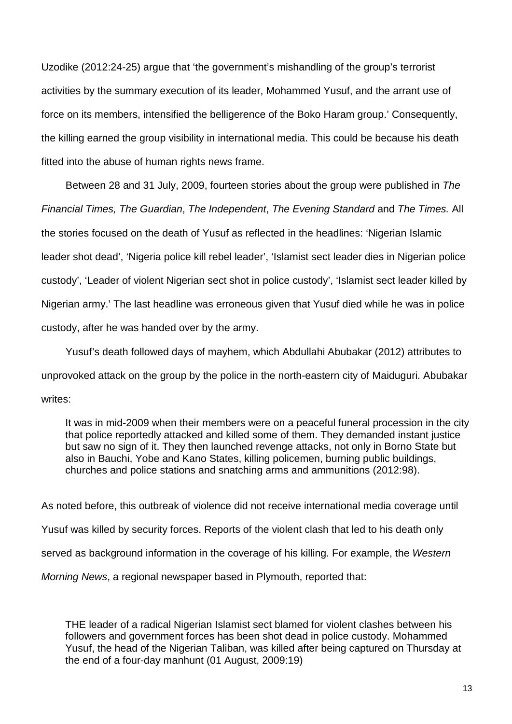Uzodike (2012:24-25) argue that 'the government's mishandling of the group's terrorist activities by the summary execution of its leader, Mohammed Yusuf, and the arrant use of force on its members, intensified the belligerence of the Boko Haram group.' Consequently, the killing earned the group visibility in international media. This could be because his death fitted into the abuse of human rights news frame.

Between 28 and 31 July, 2009, fourteen stories about the group were published in *The Financial Times, The Guardian*, *The Independent*, *The Evening Standard* and *The Times.* All the stories focused on the death of Yusuf as reflected in the headlines: 'Nigerian Islamic leader shot dead', 'Nigeria police kill rebel leader', 'Islamist sect leader dies in Nigerian police custody', 'Leader of violent Nigerian sect shot in police custody', 'Islamist sect leader killed by Nigerian army.' The last headline was erroneous given that Yusuf died while he was in police custody, after he was handed over by the army.

Yusuf's death followed days of mayhem, which Abdullahi Abubakar (2012) attributes to unprovoked attack on the group by the police in the north-eastern city of Maiduguri. Abubakar writes:

It was in mid-2009 when their members were on a peaceful funeral procession in the city that police reportedly attacked and killed some of them. They demanded instant justice but saw no sign of it. They then launched revenge attacks, not only in Borno State but also in Bauchi, Yobe and Kano States, killing policemen, burning public buildings, churches and police stations and snatching arms and ammunitions (2012:98).

As noted before, this outbreak of violence did not receive international media coverage until Yusuf was killed by security forces. Reports of the violent clash that led to his death only served as background information in the coverage of his killing. For example, the *Western Morning News*, a regional newspaper based in Plymouth, reported that:

THE leader of a radical Nigerian Islamist sect blamed for violent clashes between his followers and government forces has been shot dead in police custody. Mohammed Yusuf, the head of the Nigerian Taliban, was killed after being captured on Thursday at the end of a four-day manhunt (01 August, 2009:19)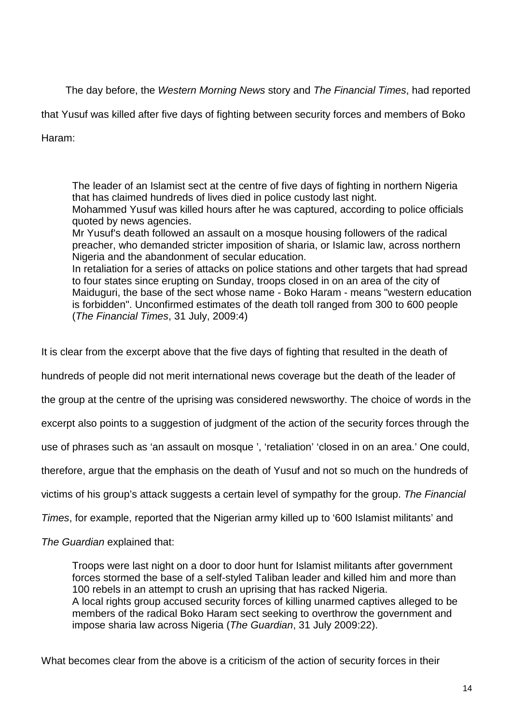The day before, the *Western Morning News* story and *The Financial Times*, had reported

that Yusuf was killed after five days of fighting between security forces and members of Boko

Haram:

The leader of an Islamist sect at the centre of five days of fighting in northern Nigeria that has claimed hundreds of lives died in police custody last night. Mohammed Yusuf was killed hours after he was captured, according to police officials quoted by news agencies.

Mr Yusuf's death followed an assault on a mosque housing followers of the radical preacher, who demanded stricter imposition of sharia, or Islamic law, across northern Nigeria and the abandonment of secular education.

In retaliation for a series of attacks on police stations and other targets that had spread to four states since erupting on Sunday, troops closed in on an area of the city of Maiduguri, the base of the sect whose name - Boko Haram - means "western education is forbidden". Unconfirmed estimates of the death toll ranged from 300 to 600 people (*The Financial Times*, 31 July, 2009:4)

It is clear from the excerpt above that the five days of fighting that resulted in the death of

hundreds of people did not merit international news coverage but the death of the leader of

the group at the centre of the uprising was considered newsworthy. The choice of words in the

excerpt also points to a suggestion of judgment of the action of the security forces through the

use of phrases such as 'an assault on mosque ', 'retaliation' 'closed in on an area.' One could,

therefore, argue that the emphasis on the death of Yusuf and not so much on the hundreds of

victims of his group's attack suggests a certain level of sympathy for the group. *The Financial* 

*Times*, for example, reported that the Nigerian army killed up to '600 Islamist militants' and

*The Guardian* explained that:

Troops were last night on a door to door hunt for Islamist militants after government forces stormed the base of a self-styled Taliban leader and killed him and more than 100 rebels in an attempt to crush an uprising that has racked Nigeria. A local rights group accused security forces of killing unarmed captives alleged to be

members of the radical Boko Haram sect seeking to overthrow the government and impose sharia law across Nigeria (*The Guardian*, 31 July 2009:22).

What becomes clear from the above is a criticism of the action of security forces in their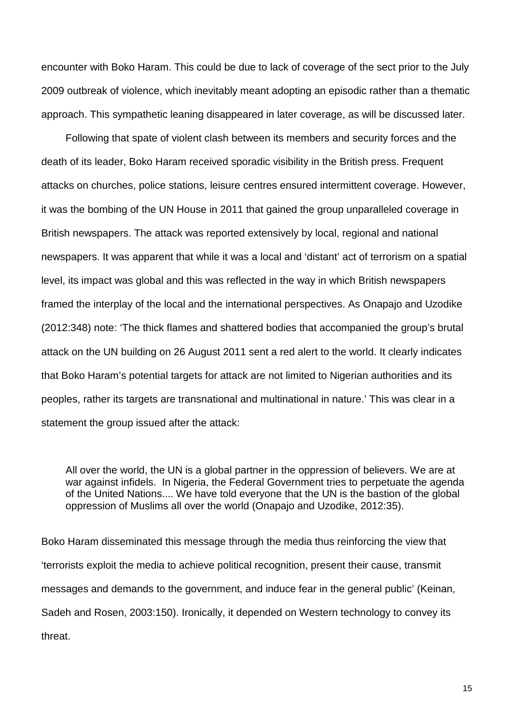encounter with Boko Haram. This could be due to lack of coverage of the sect prior to the July 2009 outbreak of violence, which inevitably meant adopting an episodic rather than a thematic approach. This sympathetic leaning disappeared in later coverage, as will be discussed later.

Following that spate of violent clash between its members and security forces and the death of its leader, Boko Haram received sporadic visibility in the British press. Frequent attacks on churches, police stations, leisure centres ensured intermittent coverage. However, it was the bombing of the UN House in 2011 that gained the group unparalleled coverage in British newspapers. The attack was reported extensively by local, regional and national newspapers. It was apparent that while it was a local and 'distant' act of terrorism on a spatial level, its impact was global and this was reflected in the way in which British newspapers framed the interplay of the local and the international perspectives. As Onapajo and Uzodike (2012:348) note: 'The thick flames and shattered bodies that accompanied the group's brutal attack on the UN building on 26 August 2011 sent a red alert to the world. It clearly indicates that Boko Haram's potential targets for attack are not limited to Nigerian authorities and its peoples, rather its targets are transnational and multinational in nature.' This was clear in a statement the group issued after the attack:

All over the world, the UN is a global partner in the oppression of believers. We are at war against infidels. In Nigeria, the Federal Government tries to perpetuate the agenda of the United Nations.... We have told everyone that the UN is the bastion of the global oppression of Muslims all over the world (Onapajo and Uzodike, 2012:35).

Boko Haram disseminated this message through the media thus reinforcing the view that 'terrorists exploit the media to achieve political recognition, present their cause, transmit messages and demands to the government, and induce fear in the general public' (Keinan, Sadeh and Rosen, 2003:150). Ironically, it depended on Western technology to convey its threat.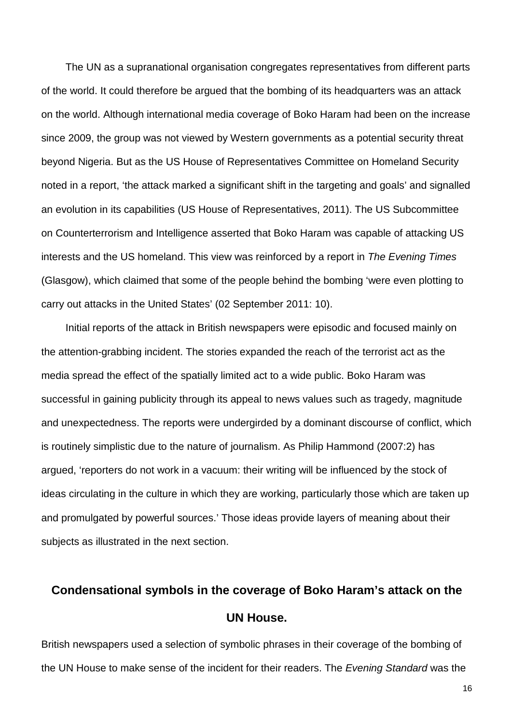The UN as a supranational organisation congregates representatives from different parts of the world. It could therefore be argued that the bombing of its headquarters was an attack on the world. Although international media coverage of Boko Haram had been on the increase since 2009, the group was not viewed by Western governments as a potential security threat beyond Nigeria. But as the US House of Representatives Committee on Homeland Security noted in a report, 'the attack marked a significant shift in the targeting and goals' and signalled an evolution in its capabilities (US House of Representatives, 2011). The US Subcommittee on Counterterrorism and Intelligence asserted that Boko Haram was capable of attacking US interests and the US homeland. This view was reinforced by a report in *The Evening Times* (Glasgow), which claimed that some of the people behind the bombing 'were even plotting to carry out attacks in the United States' (02 September 2011: 10).

Initial reports of the attack in British newspapers were episodic and focused mainly on the attention-grabbing incident. The stories expanded the reach of the terrorist act as the media spread the effect of the spatially limited act to a wide public. Boko Haram was successful in gaining publicity through its appeal to news values such as tragedy, magnitude and unexpectedness. The reports were undergirded by a dominant discourse of conflict, which is routinely simplistic due to the nature of journalism. As Philip Hammond (2007:2) has argued, 'reporters do not work in a vacuum: their writing will be influenced by the stock of ideas circulating in the culture in which they are working, particularly those which are taken up and promulgated by powerful sources.' Those ideas provide layers of meaning about their subjects as illustrated in the next section.

# **Condensational symbols in the coverage of Boko Haram's attack on the UN House.**

British newspapers used a selection of symbolic phrases in their coverage of the bombing of the UN House to make sense of the incident for their readers. The *Evening Standard* was the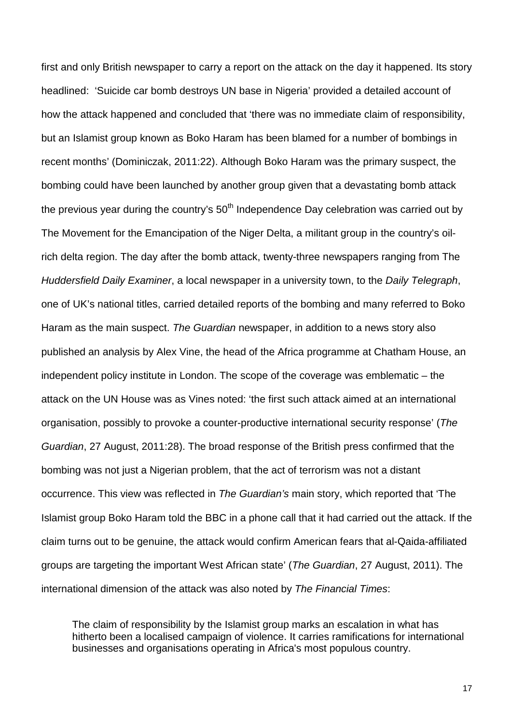first and only British newspaper to carry a report on the attack on the day it happened. Its story headlined: 'Suicide car bomb destroys UN base in Nigeria' provided a detailed account of how the attack happened and concluded that 'there was no immediate claim of responsibility, but an Islamist group known as Boko Haram has been blamed for a number of bombings in recent months' (Dominiczak, 2011:22). Although Boko Haram was the primary suspect, the bombing could have been launched by another group given that a devastating bomb attack the previous year during the country's 50<sup>th</sup> Independence Day celebration was carried out by The Movement for the Emancipation of the Niger Delta, a militant group in the country's oilrich delta region. The day after the bomb attack, twenty-three newspapers ranging from The *Huddersfield Daily Examiner*, a local newspaper in a university town, to the *Daily Telegraph*, one of UK's national titles, carried detailed reports of the bombing and many referred to Boko Haram as the main suspect. *The Guardian* newspaper, in addition to a news story also published an analysis by Alex Vine, the head of the Africa programme at Chatham House, an independent policy institute in London. The scope of the coverage was emblematic – the attack on the UN House was as Vines noted: 'the first such attack aimed at an international organisation, possibly to provoke a counter-productive international security response' (*The Guardian*, 27 August, 2011:28). The broad response of the British press confirmed that the bombing was not just a Nigerian problem, that the act of terrorism was not a distant occurrence. This view was reflected in *The Guardian's* main story, which reported that 'The Islamist group Boko Haram told the BBC in a phone call that it had carried out the attack. If the claim turns out to be genuine, the attack would confirm American fears that al-Qaida-affiliated groups are targeting the important West African state' (*The Guardian*, 27 August, 2011). The international dimension of the attack was also noted by *The Financial Times*:

The claim of responsibility by the Islamist group marks an escalation in what has hitherto been a localised campaign of violence. It carries ramifications for international businesses and organisations operating in Africa's most populous country.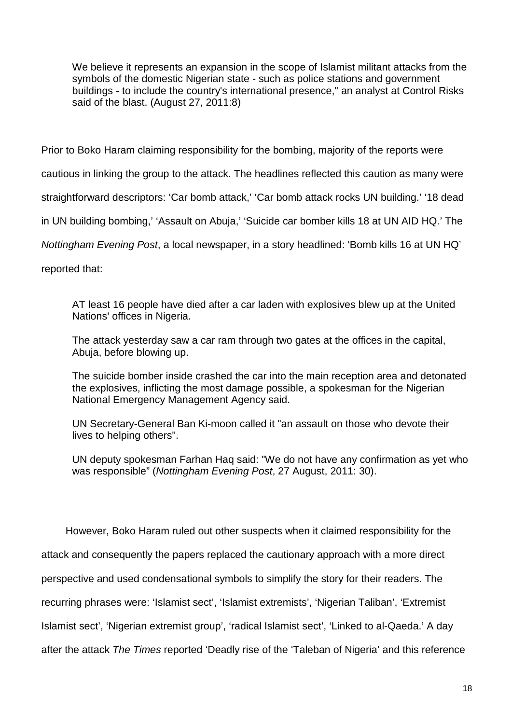We believe it represents an expansion in the scope of Islamist militant attacks from the symbols of the domestic Nigerian state - such as police stations and government buildings - to include the country's international presence," an analyst at Control Risks said of the blast. (August 27, 2011:8)

Prior to Boko Haram claiming responsibility for the bombing, majority of the reports were

cautious in linking the group to the attack. The headlines reflected this caution as many were

straightforward descriptors: 'Car bomb attack,' 'Car bomb attack rocks UN building.' '18 dead

in UN building bombing,' 'Assault on Abuja,' 'Suicide car bomber kills 18 at UN AID HQ.' The

*Nottingham Evening Post*, a local newspaper, in a story headlined: 'Bomb kills 16 at UN HQ'

reported that:

AT least 16 people have died after a car laden with explosives blew up at the United Nations' offices in Nigeria.

The attack yesterday saw a car ram through two gates at the offices in the capital, Abuja, before blowing up.

The suicide bomber inside crashed the car into the main reception area and detonated the explosives, inflicting the most damage possible, a spokesman for the Nigerian National Emergency Management Agency said.

UN Secretary-General Ban Ki-moon called it "an assault on those who devote their lives to helping others".

UN deputy spokesman Farhan Haq said: "We do not have any confirmation as yet who was responsible" (*Nottingham Evening Post*, 27 August, 2011: 30).

However, Boko Haram ruled out other suspects when it claimed responsibility for the attack and consequently the papers replaced the cautionary approach with a more direct perspective and used condensational symbols to simplify the story for their readers. The recurring phrases were: 'Islamist sect', 'Islamist extremists', 'Nigerian Taliban', 'Extremist Islamist sect', 'Nigerian extremist group', 'radical Islamist sect', 'Linked to al-Qaeda.' A day after the attack *The Times* reported 'Deadly rise of the 'Taleban of Nigeria' and this reference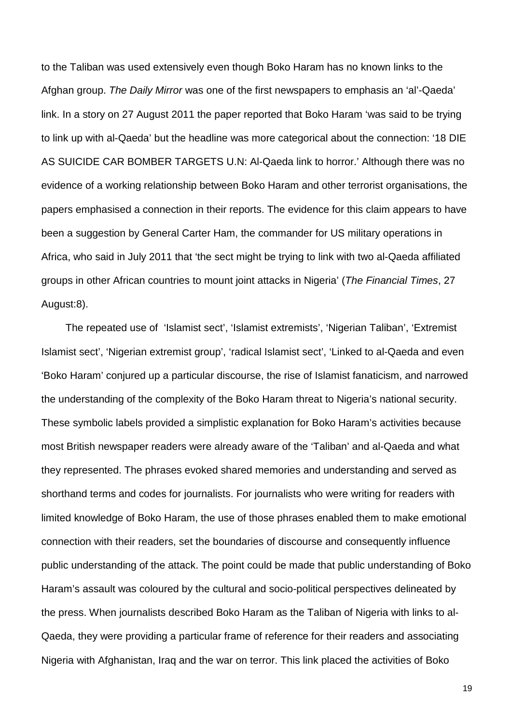to the Taliban was used extensively even though Boko Haram has no known links to the Afghan group. *The Daily Mirror* was one of the first newspapers to emphasis an 'al'-Qaeda' link. In a story on 27 August 2011 the paper reported that Boko Haram 'was said to be trying to link up with al-Qaeda' but the headline was more categorical about the connection: '18 DIE AS SUICIDE CAR BOMBER TARGETS U.N: Al-Qaeda link to horror.' Although there was no evidence of a working relationship between Boko Haram and other terrorist organisations, the papers emphasised a connection in their reports. The evidence for this claim appears to have been a suggestion by General Carter Ham, the commander for US military operations in Africa, who said in July 2011 that 'the sect might be trying to link with two al-Qaeda affiliated groups in other African countries to mount joint attacks in Nigeria' (*The Financial Times*, 27 August:8).

The repeated use of 'Islamist sect', 'Islamist extremists', 'Nigerian Taliban', 'Extremist Islamist sect', 'Nigerian extremist group', 'radical Islamist sect', 'Linked to al-Qaeda and even 'Boko Haram' conjured up a particular discourse, the rise of Islamist fanaticism, and narrowed the understanding of the complexity of the Boko Haram threat to Nigeria's national security. These symbolic labels provided a simplistic explanation for Boko Haram's activities because most British newspaper readers were already aware of the 'Taliban' and al-Qaeda and what they represented. The phrases evoked shared memories and understanding and served as shorthand terms and codes for journalists. For journalists who were writing for readers with limited knowledge of Boko Haram, the use of those phrases enabled them to make emotional connection with their readers, set the boundaries of discourse and consequently influence public understanding of the attack. The point could be made that public understanding of Boko Haram's assault was coloured by the cultural and socio-political perspectives delineated by the press. When journalists described Boko Haram as the Taliban of Nigeria with links to al-Qaeda, they were providing a particular frame of reference for their readers and associating Nigeria with Afghanistan, Iraq and the war on terror. This link placed the activities of Boko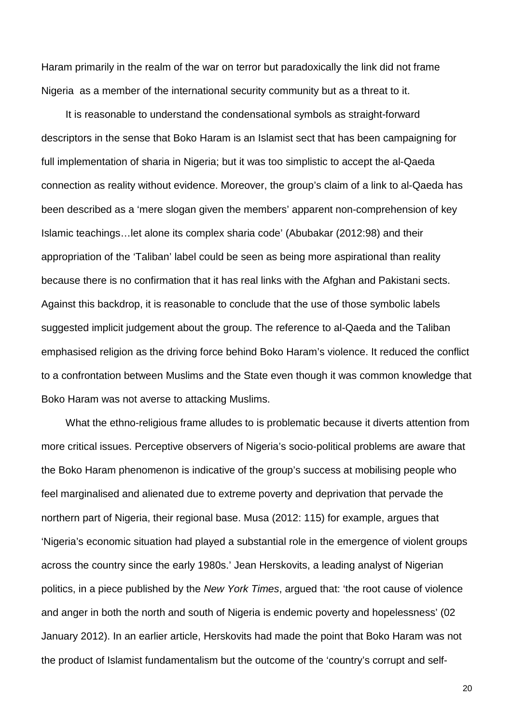Haram primarily in the realm of the war on terror but paradoxically the link did not frame Nigeria as a member of the international security community but as a threat to it.

It is reasonable to understand the condensational symbols as straight-forward descriptors in the sense that Boko Haram is an Islamist sect that has been campaigning for full implementation of sharia in Nigeria; but it was too simplistic to accept the al-Qaeda connection as reality without evidence. Moreover, the group's claim of a link to al-Qaeda has been described as a 'mere slogan given the members' apparent non-comprehension of key Islamic teachings…let alone its complex sharia code' (Abubakar (2012:98) and their appropriation of the 'Taliban' label could be seen as being more aspirational than reality because there is no confirmation that it has real links with the Afghan and Pakistani sects. Against this backdrop, it is reasonable to conclude that the use of those symbolic labels suggested implicit judgement about the group. The reference to al-Qaeda and the Taliban emphasised religion as the driving force behind Boko Haram's violence. It reduced the conflict to a confrontation between Muslims and the State even though it was common knowledge that Boko Haram was not averse to attacking Muslims.

What the ethno-religious frame alludes to is problematic because it diverts attention from more critical issues. Perceptive observers of Nigeria's socio-political problems are aware that the Boko Haram phenomenon is indicative of the group's success at mobilising people who feel marginalised and alienated due to extreme poverty and deprivation that pervade the northern part of Nigeria, their regional base. Musa (2012: 115) for example, argues that 'Nigeria's economic situation had played a substantial role in the emergence of violent groups across the country since the early 1980s.' Jean Herskovits, a leading analyst of Nigerian politics, in a piece published by the *New York Times*, argued that: 'the root cause of violence and anger in both the north and south of Nigeria is endemic poverty and hopelessness' (02 January 2012). In an earlier article, Herskovits had made the point that Boko Haram was not the product of Islamist fundamentalism but the outcome of the 'country's corrupt and self-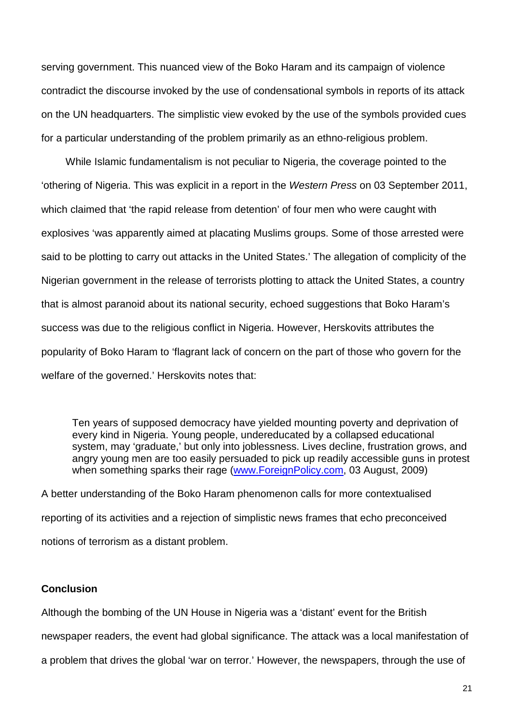serving government. This nuanced view of the Boko Haram and its campaign of violence contradict the discourse invoked by the use of condensational symbols in reports of its attack on the UN headquarters. The simplistic view evoked by the use of the symbols provided cues for a particular understanding of the problem primarily as an ethno-religious problem.

While Islamic fundamentalism is not peculiar to Nigeria, the coverage pointed to the 'othering of Nigeria. This was explicit in a report in the *Western Press* on 03 September 2011, which claimed that 'the rapid release from detention' of four men who were caught with explosives 'was apparently aimed at placating Muslims groups. Some of those arrested were said to be plotting to carry out attacks in the United States.' The allegation of complicity of the Nigerian government in the release of terrorists plotting to attack the United States, a country that is almost paranoid about its national security, echoed suggestions that Boko Haram's success was due to the religious conflict in Nigeria. However, Herskovits attributes the popularity of Boko Haram to 'flagrant lack of concern on the part of those who govern for the welfare of the governed.' Herskovits notes that:

Ten years of supposed democracy have yielded mounting poverty and deprivation of every kind in Nigeria. Young people, undereducated by a collapsed educational system, may 'graduate,' but only into joblessness. Lives decline, frustration grows, and angry young men are too easily persuaded to pick up readily accessible guns in protest when something sparks their rage [\(www.ForeignPolicy.com,](http://www.foreignpolicy.com/) 03 August, 2009)

A better understanding of the Boko Haram phenomenon calls for more contextualised reporting of its activities and a rejection of simplistic news frames that echo preconceived notions of terrorism as a distant problem.

#### **Conclusion**

Although the bombing of the UN House in Nigeria was a 'distant' event for the British newspaper readers, the event had global significance. The attack was a local manifestation of a problem that drives the global 'war on terror.' However, the newspapers, through the use of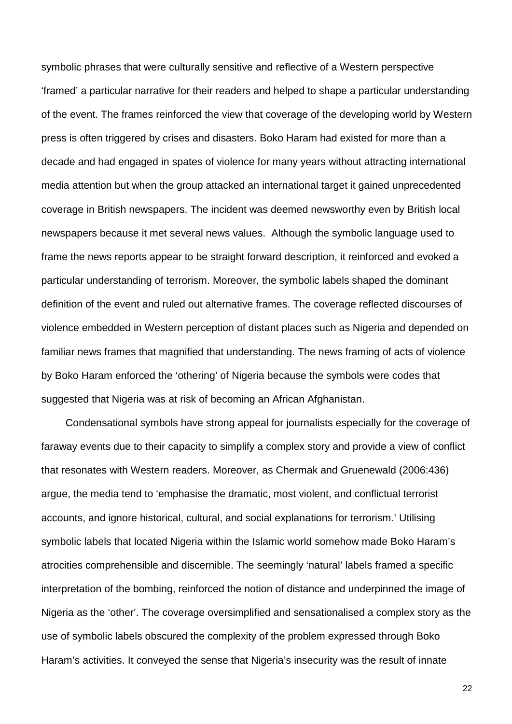symbolic phrases that were culturally sensitive and reflective of a Western perspective 'framed' a particular narrative for their readers and helped to shape a particular understanding of the event. The frames reinforced the view that coverage of the developing world by Western press is often triggered by crises and disasters. Boko Haram had existed for more than a decade and had engaged in spates of violence for many years without attracting international media attention but when the group attacked an international target it gained unprecedented coverage in British newspapers. The incident was deemed newsworthy even by British local newspapers because it met several news values. Although the symbolic language used to frame the news reports appear to be straight forward description, it reinforced and evoked a particular understanding of terrorism. Moreover, the symbolic labels shaped the dominant definition of the event and ruled out alternative frames. The coverage reflected discourses of violence embedded in Western perception of distant places such as Nigeria and depended on familiar news frames that magnified that understanding. The news framing of acts of violence by Boko Haram enforced the 'othering' of Nigeria because the symbols were codes that suggested that Nigeria was at risk of becoming an African Afghanistan.

Condensational symbols have strong appeal for journalists especially for the coverage of faraway events due to their capacity to simplify a complex story and provide a view of conflict that resonates with Western readers. Moreover, as Chermak and Gruenewald (2006:436) argue, the media tend to 'emphasise the dramatic, most violent, and conflictual terrorist accounts, and ignore historical, cultural, and social explanations for terrorism.' Utilising symbolic labels that located Nigeria within the Islamic world somehow made Boko Haram's atrocities comprehensible and discernible. The seemingly 'natural' labels framed a specific interpretation of the bombing, reinforced the notion of distance and underpinned the image of Nigeria as the 'other'. The coverage oversimplified and sensationalised a complex story as the use of symbolic labels obscured the complexity of the problem expressed through Boko Haram's activities. It conveyed the sense that Nigeria's insecurity was the result of innate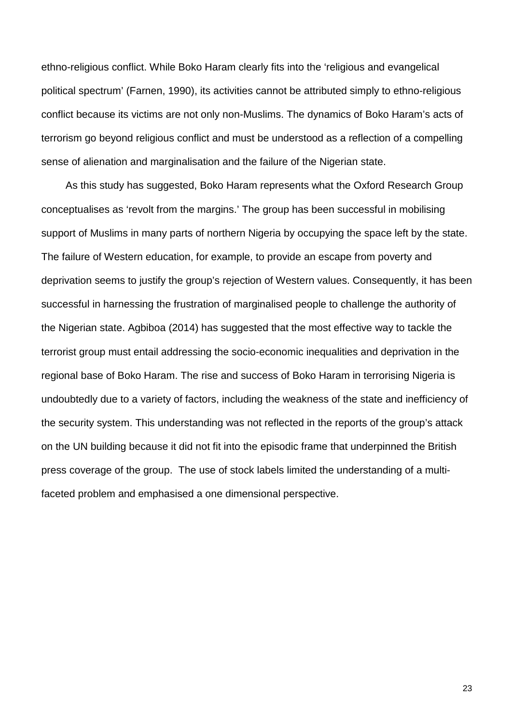ethno-religious conflict. While Boko Haram clearly fits into the 'religious and evangelical political spectrum' (Farnen, 1990), its activities cannot be attributed simply to ethno-religious conflict because its victims are not only non-Muslims. The dynamics of Boko Haram's acts of terrorism go beyond religious conflict and must be understood as a reflection of a compelling sense of alienation and marginalisation and the failure of the Nigerian state.

As this study has suggested, Boko Haram represents what the Oxford Research Group conceptualises as 'revolt from the margins.' The group has been successful in mobilising support of Muslims in many parts of northern Nigeria by occupying the space left by the state. The failure of Western education, for example, to provide an escape from poverty and deprivation seems to justify the group's rejection of Western values. Consequently, it has been successful in harnessing the frustration of marginalised people to challenge the authority of the Nigerian state. Agbiboa (2014) has suggested that the most effective way to tackle the terrorist group must entail addressing the socio-economic inequalities and deprivation in the regional base of Boko Haram. The rise and success of Boko Haram in terrorising Nigeria is undoubtedly due to a variety of factors, including the weakness of the state and inefficiency of the security system. This understanding was not reflected in the reports of the group's attack on the UN building because it did not fit into the episodic frame that underpinned the British press coverage of the group. The use of stock labels limited the understanding of a multifaceted problem and emphasised a one dimensional perspective.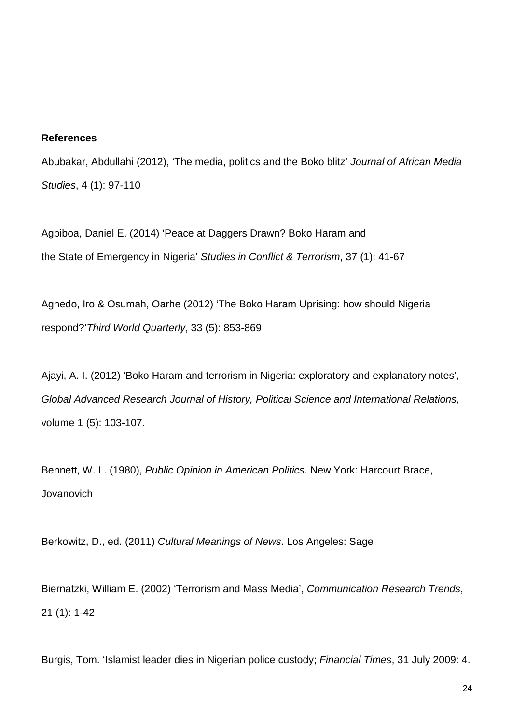#### **References**

Abubakar, Abdullahi (2012), 'The media, politics and the Boko blitz' *Journal of African Media Studies*, 4 (1): 97-110

Agbiboa, Daniel E. (2014) 'Peace at Daggers Drawn? Boko Haram and the State of Emergency in Nigeria' *Studies in Conflict & Terrorism*, 37 (1): 41-67

Aghedo, Iro & Osumah, Oarhe (2012) 'The Boko Haram Uprising: how should Nigeria respond?'*Third World Quarterly*, 33 (5): 853-869

Ajayi, A. I. (2012) 'Boko Haram and terrorism in Nigeria: exploratory and explanatory notes', *Global Advanced Research Journal of History, Political Science and International Relations*, volume 1 (5): 103-107.

Bennett, W. L. (1980), *Public Opinion in American Politics*. New York: Harcourt Brace, **Jovanovich** 

Berkowitz, D., ed. (2011) *Cultural Meanings of News*. Los Angeles: Sage

Biernatzki, William E. (2002) 'Terrorism and Mass Media', *Communication Research Trends*, 21 (1): 1-42

Burgis, Tom. 'Islamist leader dies in Nigerian police custody; *Financial Times*, 31 July 2009: 4.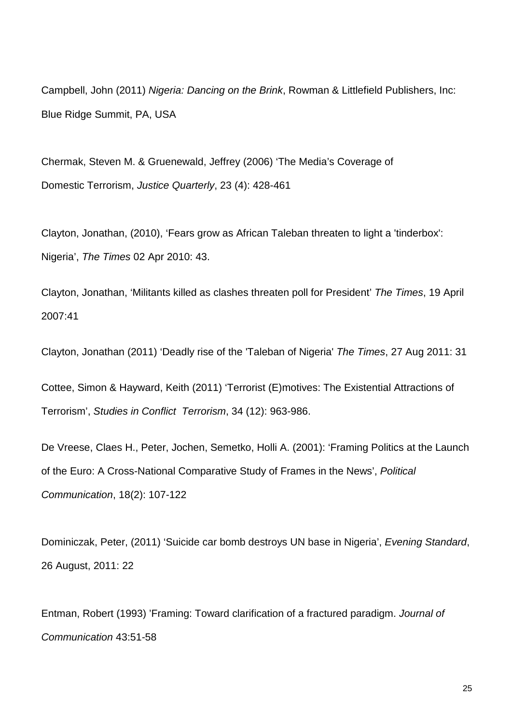Campbell, John (2011) *Nigeria: Dancing on the Brink*, Rowman & Littlefield Publishers, Inc: Blue Ridge Summit, PA, USA

Chermak, Steven M. & Gruenewald, Jeffrey (2006) 'The Media's Coverage of Domestic Terrorism, *Justice Quarterly*, 23 (4): 428-461

[Clayton, Jonathan,](http://search.proquest.com.libaccess.hud.ac.uk/indexinglinkhandler/sng/au/Clayton,+Jonathan/$N?accountid=11526) (2010), 'Fears grow as African Taleban threaten to light a 'tinderbox': Nigeria', *[The Times](http://search.proquest.com.libaccess.hud.ac.uk/pubidlinkhandler/sng/pubtitle/The+Times/$N/33565/DocView/320477072/fulltext/13D564748FBB053895/1?accountid=11526)* 02 Apr 2010: 43.

Clayton, Jonathan, 'Militants killed as clashes threaten poll for President' *The Times*, 19 April 2007:41

Clayton, Jonathan (2011) 'Deadly rise of the 'Taleban of Nigeria' *The Times*, 27 Aug 2011: 31

Cottee, Simon & Hayward, Keith (2011) 'Terrorist (E)motives: The Existential Attractions of Terrorism', *Studies in Conflict Terrorism*, 34 (12): 963-986.

De Vreese, Claes H., Peter, Jochen, Semetko, Holli A. (2001): 'Framing Politics at the Launch of the Euro: A Cross-National Comparative Study of Frames in the News', *Political Communication*, 18(2): 107-122

Dominiczak, Peter, (2011) 'Suicide car bomb destroys UN base in Nigeria', *Evening Standard*, 26 August, 2011: 22

Entman, Robert (1993) 'Framing: Toward clarification of a fractured paradigm. *Journal of Communication* 43:51-58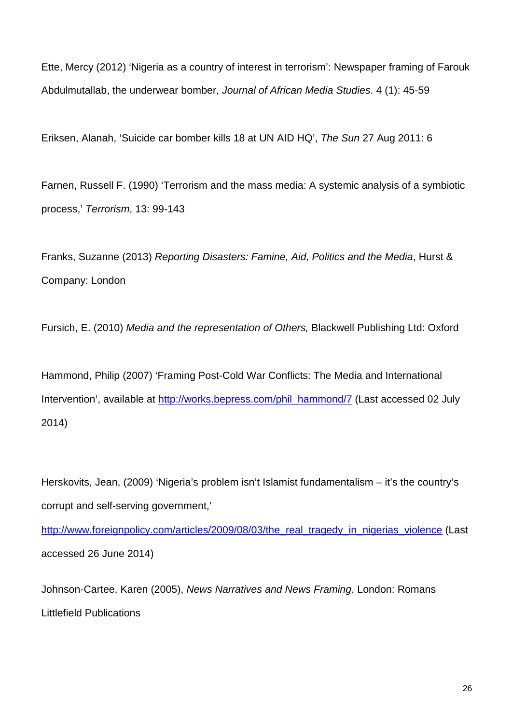Ette, Mercy (2012) 'Nigeria as a country of interest in terrorism': Newspaper framing of Farouk Abdulmutallab, the underwear bomber, *Journal of African Media Studies*. 4 (1): 45-59

Eriksen, Alanah, 'Suicide car bomber kills 18 at UN AID HQ', *The Sun* 27 Aug 2011: 6

Farnen, Russell F. (1990) 'Terrorism and the mass media: A systemic analysis of a symbiotic process,' *Terrorism*, 13: 99-143

Franks, Suzanne (2013) *Reporting Disasters: Famine, Aid, Politics and the Media*, Hurst & Company: London

Fursich, E. (2010) *Media and the representation of Others,* Blackwell Publishing Ltd: Oxford

Hammond, Philip (2007) 'Framing Post-Cold War Conflicts: The Media and International Intervention', available at [http://works.bepress.com/phil\\_hammond/7](http://works.bepress.com/phil_hammond/7) (Last accessed 02 July 2014)

Herskovits, Jean, (2009) 'Nigeria's problem isn't Islamist fundamentalism – it's the country's corrupt and self-serving government,'

[http://www.foreignpolicy.com/articles/2009/08/03/the\\_real\\_tragedy\\_in\\_nigerias\\_violence](http://www.foreignpolicy.com/articles/2009/08/03/the_real_tragedy_in_nigerias_violence) (Last accessed 26 June 2014)

Johnson-Cartee, Karen (2005), *News Narratives and News Framing*, London: Romans Littlefield Publications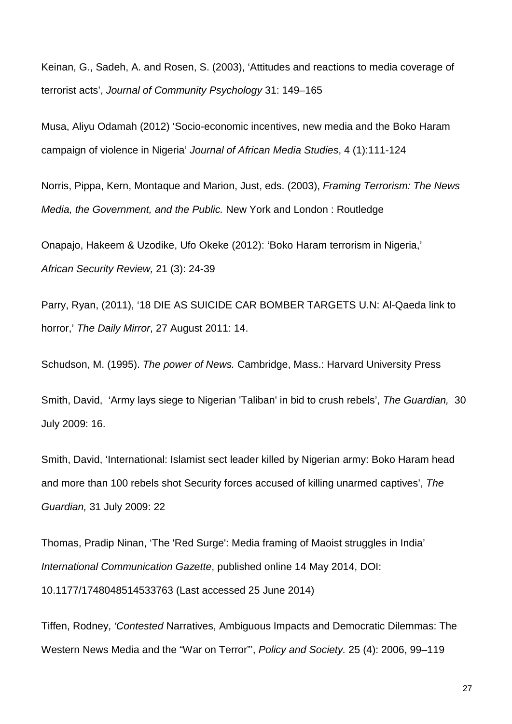Keinan, G., Sadeh, A. and Rosen, S. (2003), 'Attitudes and reactions to media coverage of terrorist acts', *Journal of Community Psychology* 31: 149–165

Musa, Aliyu Odamah (2012) 'Socio-economic incentives, new media and the Boko Haram campaign of violence in Nigeria' *Journal of African Media Studies*, 4 (1):111-124

Norris, Pippa, Kern, Montaque and Marion, Just, eds. (2003), *Framing Terrorism: The News Media, the Government, and the Public.* New York and London : Routledge

Onapajo, Hakeem & Uzodike, Ufo Okeke (2012): 'Boko Haram terrorism in Nigeria,' *African Security Review,* 21 (3): 24-39

Parry, Ryan, (2011), '18 DIE AS SUICIDE CAR BOMBER TARGETS U.N: Al-Qaeda link to horror,' *The Daily Mirror*, 27 August 2011: 14.

Schudson, M. (1995). *The power of News.* Cambridge, Mass.: Harvard University Press

Smith, David, 'Army lays siege to Nigerian 'Taliban' in bid to crush rebels', *The Guardian,* 30 July 2009: 16.

Smith, David, 'International: Islamist sect leader killed by Nigerian army: Boko Haram head and more than 100 rebels shot Security forces accused of killing unarmed captives', *The Guardian,* 31 July 2009: 22

Thomas, Pradip Ninan, 'The 'Red Surge': Media framing of Maoist struggles in India' *International Communication Gazette*, published online 14 May 2014, DOI: 10.1177/1748048514533763 (Last accessed 25 June 2014)

Tiffen, Rodney, *'Contested* Narratives, Ambiguous Impacts and Democratic Dilemmas: The Western News Media and the "War on Terror"', *Policy and Society.* 25 (4): 2006, 99–119